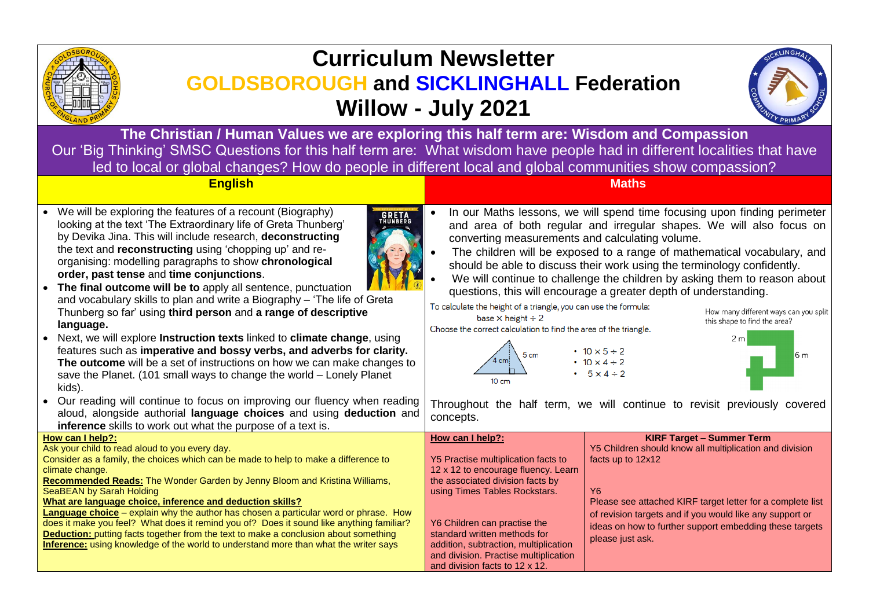

# **Curriculum Newsletter GOLDSBOROUGH and SICKLINGHALL Federation Willow - July 2021**



**The Christian / Human Values we are exploring this half term are: Wisdom and Compassion** Our 'Big Thinking' SMSC Questions for this half term are: What wisdom have people had in different localities that have led to local or global changes? How do people in different local and global communities show compassion?

#### **English Maths**

• We will be exploring the features of a recount (Biography) looking at the text 'The Extraordinary life of Greta Thunberg' by Devika Jina. This will include research, **deconstructing** the text and **reconstructing** using 'chopping up' and reorganising: modelling paragraphs to show **chronological order, past tense** and **time conjunctions**.



- **The final outcome will be to** apply all sentence, punctuation and vocabulary skills to plan and write a Biography – 'The life of Greta Thunberg so far' using **third person** and **a range of descriptive language.**
- Next, we will explore **Instruction texts** linked to **climate change**, using features such as **imperative and bossy verbs, and adverbs for clarity. The outcome** will be a set of instructions on how we can make changes to save the Planet. (101 small ways to change the world – Lonely Planet kids).
- Our reading will continue to focus on improving our fluency when reading aloud, alongside authorial **language choices** and using **deduction** and **inference** skills to work out what the purpose of a text is.

| • In our Maths lessons, we will spend time focusing upon finding perimeter |
|----------------------------------------------------------------------------|
| and area of both regular and irregular shapes. We will also focus on       |
| converting measurements and calculating volume.                            |

- The children will be exposed to a range of mathematical vocabulary, and should be able to discuss their work using the terminology confidently.
- We will continue to challenge the children by asking them to reason about questions, this will encourage a greater depth of understanding.

To calculate the height of a triangle, you can use the formula:

base  $\times$  height  $\div$  2

Choose the correct calculation to find the area of the triangle.







Throughout the half term, we will continue to revisit previously covered concepts.

| How can I help?:                                                                            | How can I help?:                      | <b>KIRF Target - Summer Term</b>                           |
|---------------------------------------------------------------------------------------------|---------------------------------------|------------------------------------------------------------|
| Ask your child to read aloud to you every day.                                              |                                       | Y5 Children should know all multiplication and division    |
| Consider as a family, the choices which can be made to help to make a difference to         | Y5 Practise multiplication facts to   | facts up to $12x12$                                        |
| climate change.                                                                             | 12 x 12 to encourage fluency. Learn   |                                                            |
| Recommended Reads: The Wonder Garden by Jenny Bloom and Kristina Williams,                  | the associated division facts by      |                                                            |
| SeaBEAN by Sarah Holding                                                                    | using Times Tables Rockstars.         | Y6                                                         |
| What are language choice, inference and deduction skills?                                   |                                       | Please see attached KIRF target letter for a complete list |
| <b>Language choice</b> – explain why the author has chosen a particular word or phrase. How |                                       | of revision targets and if you would like any support or   |
| does it make you feel? What does it remind you of? Does it sound like anything familiar?    | Y6 Children can practise the          | ideas on how to further support embedding these targets    |
| <b>Deduction:</b> putting facts together from the text to make a conclusion about something | standard written methods for          | please just ask.                                           |
| Inference: using knowledge of the world to understand more than what the writer says        | addition, subtraction, multiplication |                                                            |
|                                                                                             | and division. Practise multiplication |                                                            |
|                                                                                             | and division facts to 12 x 12.        |                                                            |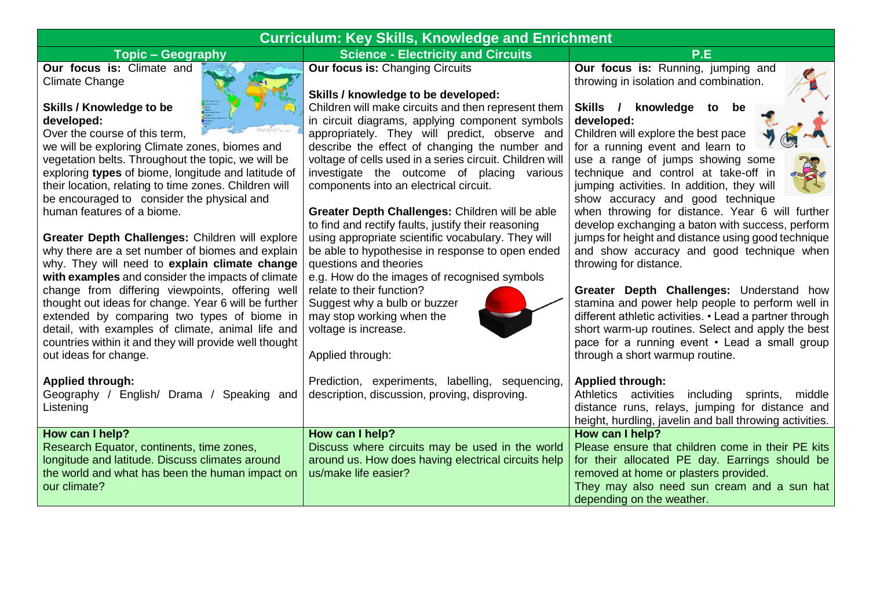## **Curriculum: Key Skills, Knowledge and Enrichment**

### **Topic – Geography Science - Electricity and Circuits P.E**

**Our focus is:** Climate and Climate Change

#### **Skills / Knowledge to be developed:**

Over the course of this term,

we will be exploring Climate zones, biomes and vegetation belts. Throughout the topic, we will be exploring **types** of biome, longitude and latitude of their location, relating to time zones. Children will be encouraged to consider the physical and human features of a biome.

**Greater Depth Challenges:** Children will explore why there are a set number of biomes and explain why. They will need to **explain climate change with examples** and consider the impacts of climate change from differing viewpoints, offering well thought out ideas for change. Year 6 will be further extended by comparing two types of biome in detail, with examples of climate, animal life and countries within it and they will provide well thought out ideas for change.

**Applied through:**

Geography / English Listening

**How can I help?** Research Equator, on longitude and latitud the world and what has our climate?

**Our focus is: Changing Circuits** 

#### **Skills / knowledge to be developed:**

Children will make circuits and then represent them in circuit diagrams, applying component symbols appropriately. They will predict, observe and describe the effect of changing the number and voltage of cells used in a series circuit. Children will investigate the outcome of placing various components into an electrical circuit.

**Greater Depth Challenges:** Children will be able to find and rectify faults, justify their reasoning using appropriate scientific vocabulary. They will be able to hypothesise in response to open ended questions and theories

e.g. How do the images of recognised symbols

Prediction, experiments, labelling, sequencing,

relate to their function? Suggest why a bulb or buzzer may stop working when the voltage is increase.

Applied through:

**Our focus is:** Running, jumping and throwing in isolation and combination.

#### **Skills / knowledge to be developed:**

Children will explore the best pace for a running event and learn to

use a range of jumps showing some technique and control at take-off in jumping activities. In addition, they will show accuracy and good technique



when throwing for distance. Year 6 will further develop exchanging a baton with success, perform jumps for height and distance using good technique and show accuracy and good technique when throwing for distance.

**Greater Depth Challenges:** Understand how stamina and power help people to perform well in different athletic activities. • Lead a partner through short warm-up routines. Select and apply the best pace for a running event • Lead a small group through a short warmup routine.

#### **Applied through:**

|                                                                                       | sh/ Drama / Speaking and description, discussion, proving, disproving. | Athletics activities including sprints,<br>middle<br>distance runs, relays, jumping for distance and<br>height, hurdling, javelin and ball throwing activities.                                                                                                                                                                                    |
|---------------------------------------------------------------------------------------|------------------------------------------------------------------------|----------------------------------------------------------------------------------------------------------------------------------------------------------------------------------------------------------------------------------------------------------------------------------------------------------------------------------------------------|
| continents, time zones,<br>e. Discuss climates around<br>has been the human impact on | How can I help?<br>us/make life easier?                                | How can I help?<br>Discuss where circuits may be used in the world   Please ensure that children come in their PE kits<br>around us. How does having electrical circuits help   for their allocated PE day. Earrings should be<br>removed at home or plasters provided.<br>They may also need sun cream and a sun hat<br>depending on the weather. |





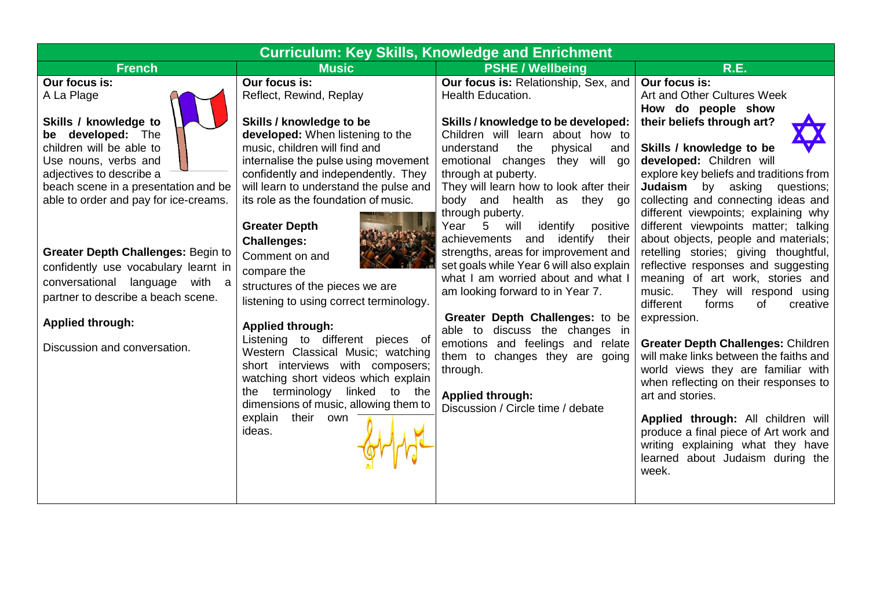| <b>Curriculum: Key Skills, Knowledge and Enrichment</b>                                                                                                                                                                                                                                                                                                                                                                                                            |                                                                                                                                                                                                                                                                                                                                                                                                                                                                                                                                                                                                                 |                                                                                                                                                                                                                                                                                                                                                                                                                                                                                                                                                                                                                                                                                                                                                          |                                                                                                                                                                                                                                                                                                                                                                                                                                                                                                                                                                                                                                                                                                                                                          |  |
|--------------------------------------------------------------------------------------------------------------------------------------------------------------------------------------------------------------------------------------------------------------------------------------------------------------------------------------------------------------------------------------------------------------------------------------------------------------------|-----------------------------------------------------------------------------------------------------------------------------------------------------------------------------------------------------------------------------------------------------------------------------------------------------------------------------------------------------------------------------------------------------------------------------------------------------------------------------------------------------------------------------------------------------------------------------------------------------------------|----------------------------------------------------------------------------------------------------------------------------------------------------------------------------------------------------------------------------------------------------------------------------------------------------------------------------------------------------------------------------------------------------------------------------------------------------------------------------------------------------------------------------------------------------------------------------------------------------------------------------------------------------------------------------------------------------------------------------------------------------------|----------------------------------------------------------------------------------------------------------------------------------------------------------------------------------------------------------------------------------------------------------------------------------------------------------------------------------------------------------------------------------------------------------------------------------------------------------------------------------------------------------------------------------------------------------------------------------------------------------------------------------------------------------------------------------------------------------------------------------------------------------|--|
| <b>French</b>                                                                                                                                                                                                                                                                                                                                                                                                                                                      | <b>Music</b>                                                                                                                                                                                                                                                                                                                                                                                                                                                                                                                                                                                                    | <b>PSHE / Wellbeing</b>                                                                                                                                                                                                                                                                                                                                                                                                                                                                                                                                                                                                                                                                                                                                  | <b>R.E.</b>                                                                                                                                                                                                                                                                                                                                                                                                                                                                                                                                                                                                                                                                                                                                              |  |
| Our focus is:<br>A La Plage<br>Skills / knowledge to<br>be developed: The<br>children will be able to<br>Use nouns, verbs and<br>adjectives to describe a<br>beach scene in a presentation and be<br>able to order and pay for ice-creams.<br><b>Greater Depth Challenges: Begin to</b><br>confidently use vocabulary learnt in<br>conversational language with a<br>partner to describe a beach scene.<br><b>Applied through:</b><br>Discussion and conversation. | Our focus is:<br>Reflect, Rewind, Replay<br>Skills / knowledge to be<br>developed: When listening to the<br>music, children will find and<br>internalise the pulse using movement<br>confidently and independently. They<br>will learn to understand the pulse and<br>its role as the foundation of music.<br><b>Greater Depth</b><br><b>Challenges:</b><br>Comment on and<br>compare the<br>structures of the pieces we are<br>listening to using correct terminology.<br><b>Applied through:</b><br>Listening to different pieces of<br>Western Classical Music; watching<br>short interviews with composers; | <b>Our focus is: Relationship, Sex, and</b><br><b>Health Education.</b><br>Skills / knowledge to be developed:<br>Children will learn about how to<br>the<br>physical<br>understand<br>and<br>emotional changes they will go<br>through at puberty.<br>They will learn how to look after their<br>body and health as<br>they go<br>through puberty.<br>identify<br>5<br>positive<br>Year<br>will<br>achievements and identify their<br>strengths, areas for improvement and<br>set goals while Year 6 will also explain<br>what I am worried about and what I<br>am looking forward to in Year 7.<br>Greater Depth Challenges: to be<br>able to discuss the changes in<br>emotions and feelings and relate<br>them to changes they are going<br>through. | Our focus is:<br>Art and Other Cultures Week<br>How do people show<br>their beliefs through art?<br>Skills / knowledge to be<br>developed: Children will<br>explore key beliefs and traditions from<br>Judaism<br>by<br>asking<br>questions;<br>collecting and connecting ideas and<br>different viewpoints; explaining why<br>different viewpoints matter; talking<br>about objects, people and materials;<br>retelling stories; giving thoughtful,<br>reflective responses and suggesting<br>meaning of art work, stories and<br>They will respond using<br>music.<br>different<br>forms<br>of<br>creative<br>expression.<br><b>Greater Depth Challenges: Children</b><br>will make links between the faiths and<br>world views they are familiar with |  |
|                                                                                                                                                                                                                                                                                                                                                                                                                                                                    | watching short videos which explain<br>the terminology linked to<br>the<br>dimensions of music, allowing them to                                                                                                                                                                                                                                                                                                                                                                                                                                                                                                | <b>Applied through:</b>                                                                                                                                                                                                                                                                                                                                                                                                                                                                                                                                                                                                                                                                                                                                  | when reflecting on their responses to<br>art and stories.                                                                                                                                                                                                                                                                                                                                                                                                                                                                                                                                                                                                                                                                                                |  |
|                                                                                                                                                                                                                                                                                                                                                                                                                                                                    | explain their<br>own<br>ideas.                                                                                                                                                                                                                                                                                                                                                                                                                                                                                                                                                                                  | Discussion / Circle time / debate                                                                                                                                                                                                                                                                                                                                                                                                                                                                                                                                                                                                                                                                                                                        | Applied through: All children will<br>produce a final piece of Art work and<br>writing explaining what they have<br>learned about Judaism during the<br>week.                                                                                                                                                                                                                                                                                                                                                                                                                                                                                                                                                                                            |  |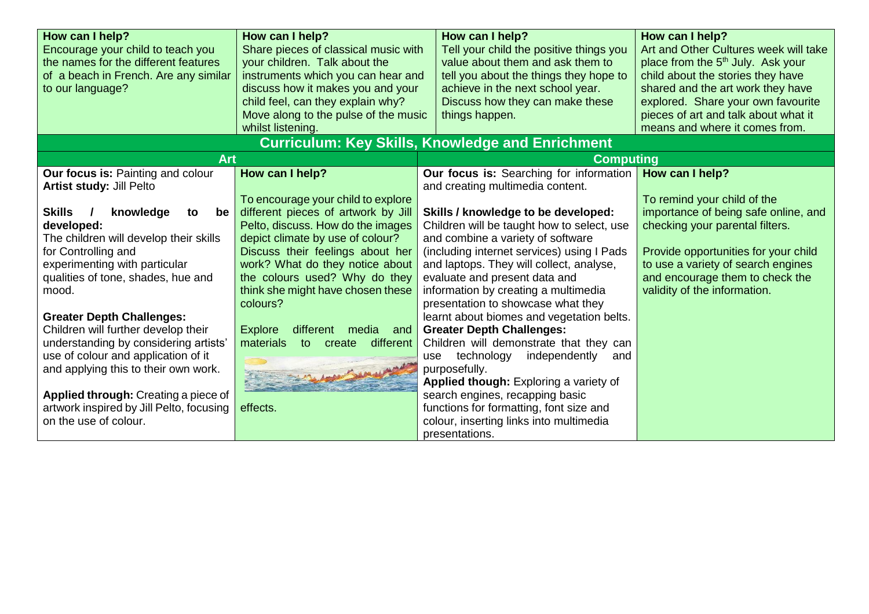| How can I help?                                                           | How can I help?                             | How can I help?                                         | How can I help?                               |
|---------------------------------------------------------------------------|---------------------------------------------|---------------------------------------------------------|-----------------------------------------------|
| Encourage your child to teach you<br>Share pieces of classical music with |                                             | Tell your child the positive things you                 | Art and Other Cultures week will take         |
| the names for the different features                                      | your children. Talk about the               | value about them and ask them to                        | place from the 5 <sup>th</sup> July. Ask your |
| of a beach in French. Are any similar                                     | instruments which you can hear and          | tell you about the things they hope to                  | child about the stories they have             |
| to our language?                                                          | discuss how it makes you and your           | achieve in the next school year.                        | shared and the art work they have             |
|                                                                           | child feel, can they explain why?           | Discuss how they can make these                         | explored. Share your own favourite            |
|                                                                           | Move along to the pulse of the music        | things happen.                                          | pieces of art and talk about what it          |
|                                                                           | whilst listening.                           |                                                         | means and where it comes from.                |
|                                                                           |                                             | <b>Curriculum: Key Skills, Knowledge and Enrichment</b> |                                               |
| <b>Art</b>                                                                |                                             | <b>Computing</b>                                        |                                               |
| <b>Our focus is: Painting and colour</b>                                  | How can I help?                             | Our focus is: Searching for information                 | How can I help?                               |
| <b>Artist study: Jill Pelto</b>                                           |                                             | and creating multimedia content.                        |                                               |
|                                                                           | To encourage your child to explore          |                                                         | To remind your child of the                   |
| <b>Skills</b><br>knowledge<br>to<br>be                                    | different pieces of artwork by Jill         | Skills / knowledge to be developed:                     | importance of being safe online, and          |
| developed:                                                                | Pelto, discuss. How do the images           | Children will be taught how to select, use              | checking your parental filters.               |
| The children will develop their skills                                    | depict climate by use of colour?            | and combine a variety of software                       |                                               |
| for Controlling and                                                       | Discuss their feelings about her            | (including internet services) using I Pads              | Provide opportunities for your child          |
| experimenting with particular                                             | work? What do they notice about             | and laptops. They will collect, analyse,                | to use a variety of search engines            |
| qualities of tone, shades, hue and                                        | the colours used? Why do they               | evaluate and present data and                           | and encourage them to check the               |
| mood.                                                                     | think she might have chosen these           | information by creating a multimedia                    | validity of the information.                  |
|                                                                           | colours?                                    | presentation to showcase what they                      |                                               |
| <b>Greater Depth Challenges:</b>                                          |                                             | learnt about biomes and vegetation belts.               |                                               |
| Children will further develop their                                       | <b>Explore</b><br>different<br>media<br>and | <b>Greater Depth Challenges:</b>                        |                                               |
| understanding by considering artists'                                     | materials<br>different<br>create<br>to      | Children will demonstrate that they can                 |                                               |
| use of colour and application of it                                       |                                             | independently<br>technology<br>and<br>use               |                                               |
| and applying this to their own work.                                      |                                             | purposefully.                                           |                                               |
|                                                                           |                                             | Applied though: Exploring a variety of                  |                                               |
| Applied through: Creating a piece of                                      |                                             | search engines, recapping basic                         |                                               |
| artwork inspired by Jill Pelto, focusing                                  | effects.                                    | functions for formatting, font size and                 |                                               |
| on the use of colour.                                                     |                                             | colour, inserting links into multimedia                 |                                               |
|                                                                           |                                             | presentations.                                          |                                               |